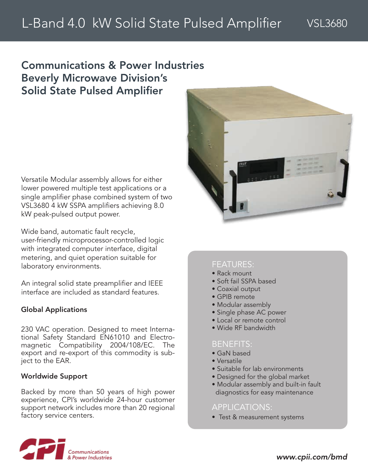## Communications & Power Industries Beverly Microwave Division's Solid State Pulsed Amplifier

Versatile Modular assembly allows for either lower powered multiple test applications or a single amplifier phase combined system of two VSL3680 4 kW SSPA amplifiers achieving 8.0 kW peak-pulsed output power.

Wide band, automatic fault recycle, user-friendly microprocessor-controlled logic with integrated computer interface, digital metering, and quiet operation suitable for laboratory environments.

An integral solid state preamplifier and IEEE interface are included as standard features.

### Global Applications

230 VAC operation. Designed to meet International Safety Standard EN61010 and Electromagnetic Compatibility 2004/108/EC. The export and re-export of this commodity is subject to the EAR.

### Worldwide Support

Backed by more than 50 years of high power experience, CPI's worldwide 24-hour customer support network includes more than 20 regional factory service centers.



## FEATURES:

- Rack mount
- Soft fail SSPA based
- Coaxial output
- GPIB remote
- Modular assembly
- Single phase AC power
- Local or remote control
- Wide RF bandwidth

## BENEFITS:

- GaN based
- Versatile
- Suitable for lab environments
- Designed for the global market
- Modular assembly and built-in fault diagnostics for easy maintenance

## APPLICATIONS:

• Test & measurement systems